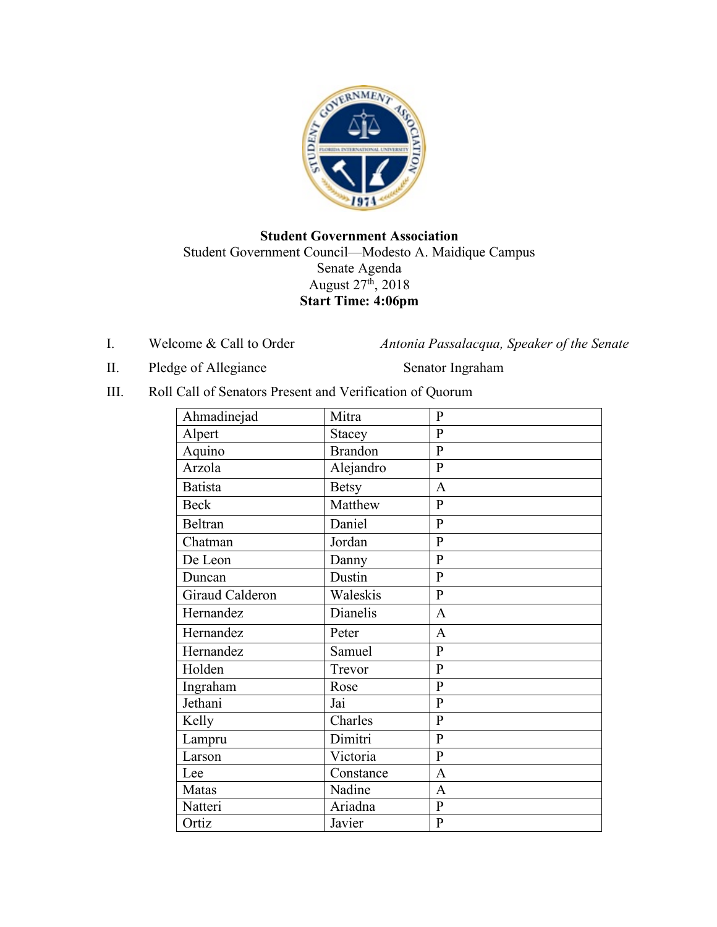

## **Student Government Association** Student Government Council—Modesto A. Maidique Campus Senate Agenda August  $27<sup>th</sup>$ ,  $2018$ **Start Time: 4:06pm**

I. Welcome & Call to Order *Antonia Passalacqua, Speaker of the Senate* 

II. Pledge of Allegiance Senator Ingraham

III. Roll Call of Senators Present and Verification of Quorum

| Ahmadinejad     | Mitra          | $\mathbf{P}$   |
|-----------------|----------------|----------------|
| Alpert          | Stacey         | $\overline{P}$ |
| Aquino          | <b>Brandon</b> | $\overline{P}$ |
| Arzola          | Alejandro      | $\mathbf{P}$   |
| Batista         | <b>Betsy</b>   | $\mathbf{A}$   |
| <b>Beck</b>     | Matthew        | $\mathbf{P}$   |
| <b>Beltran</b>  | Daniel         | $\mathbf{P}$   |
| Chatman         | Jordan         | $\overline{P}$ |
| De Leon         | Danny          | $\overline{P}$ |
| Duncan          | Dustin         | $\overline{P}$ |
| Giraud Calderon | Waleskis       | $\overline{P}$ |
| Hernandez       | Dianelis       | $\mathbf{A}$   |
| Hernandez       | Peter          | $\mathbf{A}$   |
| Hernandez       | Samuel         | $\overline{P}$ |
| Holden          | Trevor         | $\overline{P}$ |
| Ingraham        | Rose           | $\overline{P}$ |
| Jethani         | Jai            | $\overline{P}$ |
| Kelly           | Charles        | $\mathbf{P}$   |
| Lampru          | Dimitri        | $\overline{P}$ |
| Larson          | Victoria       | $\mathbf{P}$   |
| Lee             | Constance      | $\overline{A}$ |
| Matas           | Nadine         | $\overline{A}$ |
| Natteri         | Ariadna        | $\overline{P}$ |
| Ortiz           | Javier         | $\overline{P}$ |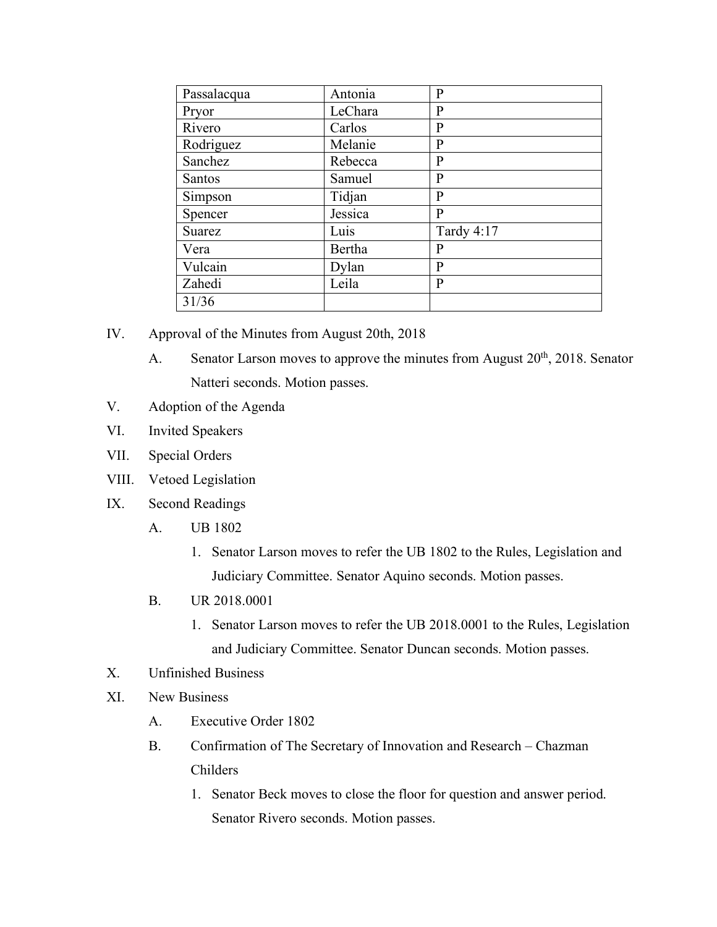| Passalacqua   | Antonia | $\mathbf{P}$ |
|---------------|---------|--------------|
| Pryor         | LeChara | $\bf P$      |
| Rivero        | Carlos  | $\mathbf{P}$ |
| Rodriguez     | Melanie | $\bf P$      |
| Sanchez       | Rebecca | $\bf P$      |
| <b>Santos</b> | Samuel  | $\mathbf{P}$ |
| Simpson       | Tidjan  | $\mathbf{P}$ |
| Spencer       | Jessica | $\mathbf{P}$ |
| Suarez        | Luis    | Tardy 4:17   |
| Vera          | Bertha  | P            |
| Vulcain       | Dylan   | $\mathbf{P}$ |
| Zahedi        | Leila   | $\bf P$      |
| 31/36         |         |              |

- IV. Approval of the Minutes from August 20th, 2018
	- A. Senator Larson moves to approve the minutes from August  $20<sup>th</sup>$ ,  $2018$ . Senator Natteri seconds. Motion passes.
- V. Adoption of the Agenda
- VI. Invited Speakers
- VII. Special Orders
- VIII. Vetoed Legislation
- IX. Second Readings
	- A. UB 1802
		- 1. Senator Larson moves to refer the UB 1802 to the Rules, Legislation and Judiciary Committee. Senator Aquino seconds. Motion passes.
	- B. UR 2018.0001
		- 1. Senator Larson moves to refer the UB 2018.0001 to the Rules, Legislation and Judiciary Committee. Senator Duncan seconds. Motion passes.
- X. Unfinished Business
- XI. New Business
	- A. Executive Order 1802
	- B. Confirmation of The Secretary of Innovation and Research Chazman Childers
		- 1. Senator Beck moves to close the floor for question and answer period. Senator Rivero seconds. Motion passes.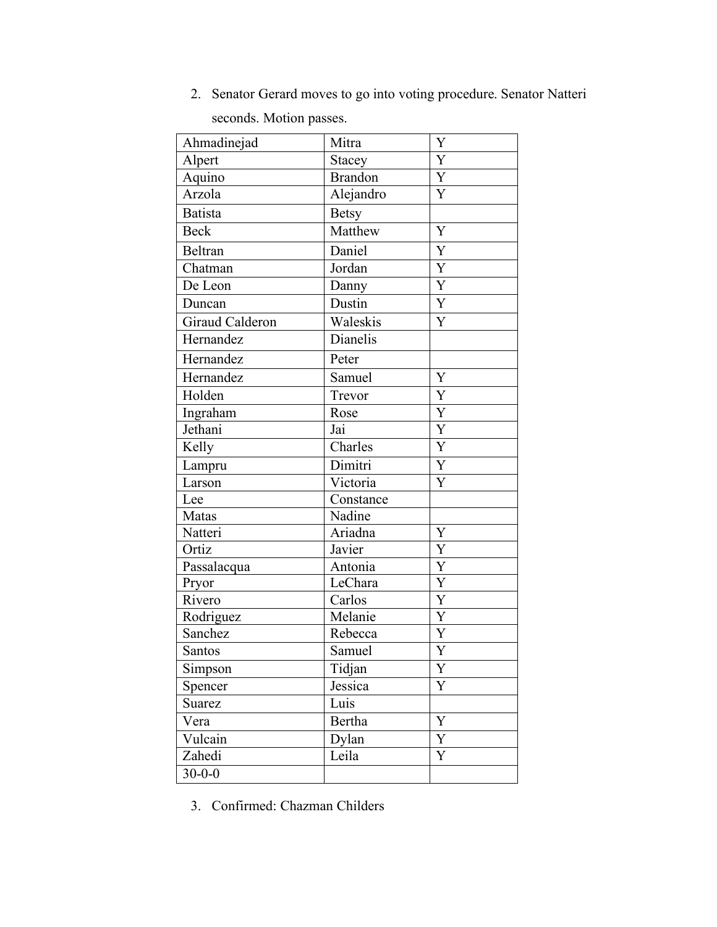2. Senator Gerard moves to go into voting procedure. Senator Natteri

seconds. Motion passes.

| Ahmadinejad     | Mitra          | Y                     |
|-----------------|----------------|-----------------------|
| Alpert          | <b>Stacey</b>  | Y                     |
| Aquino          | <b>Brandon</b> | $\overline{Y}$        |
| Arzola          | Alejandro      | Y                     |
| <b>Batista</b>  | <b>Betsy</b>   |                       |
| <b>Beck</b>     | Matthew        | Y                     |
| Beltran         | Daniel         | Y                     |
| Chatman         | Jordan         | Y                     |
| De Leon         | Danny          | $\mathbf Y$           |
| Duncan          | Dustin         | $\overline{Y}$        |
| Giraud Calderon | Waleskis       | Y                     |
| Hernandez       | Dianelis       |                       |
| Hernandez       | Peter          |                       |
| Hernandez       | Samuel         | Y                     |
| Holden          | Trevor         | Y                     |
| Ingraham        | Rose           | $\overline{\text{Y}}$ |
| Jethani         | Jai            | $\overline{Y}$        |
| Kelly           | Charles        | Y                     |
| Lampru          | Dimitri        | $\overline{Y}$        |
| Larson          | Victoria       | Y                     |
| Lee             | Constance      |                       |
| Matas           | Nadine         |                       |
| Natteri         | Ariadna        | Y                     |
| Ortiz           | Javier         | Y                     |
| Passalacqua     | Antonia        | $\overline{\text{Y}}$ |
| Pryor           | LeChara        | $\overline{Y}$        |
| Rivero          | Carlos         | $\overline{Y}$        |
| Rodriguez       | Melanie        | $\overline{\text{Y}}$ |
| Sanchez         | Rebecca        | $\overline{Y}$        |
| Santos          | Samuel         | $\overline{Y}$        |
| Simpson         | Tidjan         | Y                     |
| Spencer         | Jessica        | Y                     |
| Suarez          | Luis           |                       |
| Vera            | Bertha         | Y                     |
| Vulcain         | Dylan          | Y                     |
| Zahedi          | Leila          | Y                     |
| $30 - 0 - 0$    |                |                       |

3. Confirmed: Chazman Childers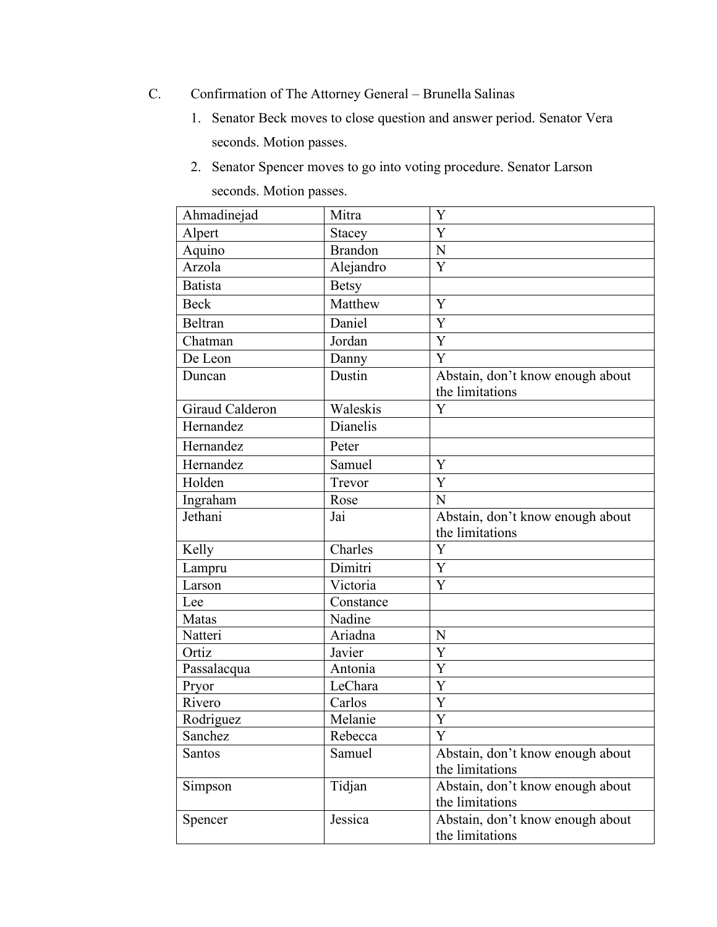- C. Confirmation of The Attorney General Brunella Salinas
	- 1. Senator Beck moves to close question and answer period. Senator Vera seconds. Motion passes.
	- 2. Senator Spencer moves to go into voting procedure. Senator Larson seconds. Motion passes.

| Ahmadinejad        | Mitra          | Y                                                   |
|--------------------|----------------|-----------------------------------------------------|
| Alpert             | <b>Stacey</b>  | Y                                                   |
| Aquino             | <b>Brandon</b> | N                                                   |
| Arzola             | Alejandro      | Y                                                   |
| <b>Batista</b>     | <b>Betsy</b>   |                                                     |
| <b>Beck</b>        | Matthew        | Y                                                   |
| Beltran            | Daniel         | Y                                                   |
| Chatman            | Jordan         | Y                                                   |
| De Leon            | Danny          | Y                                                   |
| Duncan             | Dustin         | Abstain, don't know enough about<br>the limitations |
| Giraud Calderon    | Waleskis       | Y                                                   |
| Hernandez          | Dianelis       |                                                     |
| Hernandez          | Peter          |                                                     |
| Hernandez          | Samuel         | Y                                                   |
| Holden             | Trevor         | Y                                                   |
| Ingraham           | Rose           | N                                                   |
| Jethani            | Jai            | Abstain, don't know enough about<br>the limitations |
| Kelly              | Charles        | Y                                                   |
| Lampru             | Dimitri        | Y                                                   |
| Larson             | Victoria       | Y                                                   |
| Lee                | Constance      |                                                     |
| Matas              | Nadine         |                                                     |
| Natteri            | Ariadna        | N                                                   |
| $\overline{Ortiz}$ | Javier         | Y                                                   |
| Passalacqua        | Antonia        | Y                                                   |
| Pryor              | LeChara        | Y                                                   |
| Rivero             | Carlos         | Y                                                   |
| Rodriguez          | Melanie        | Y                                                   |
| Sanchez            | Rebecca        | Y                                                   |
| <b>Santos</b>      | Samuel         | Abstain, don't know enough about                    |
|                    |                | the limitations                                     |
| Simpson            | Tidjan         | Abstain, don't know enough about                    |
|                    |                | the limitations                                     |
| Spencer            | Jessica        | Abstain, don't know enough about<br>the limitations |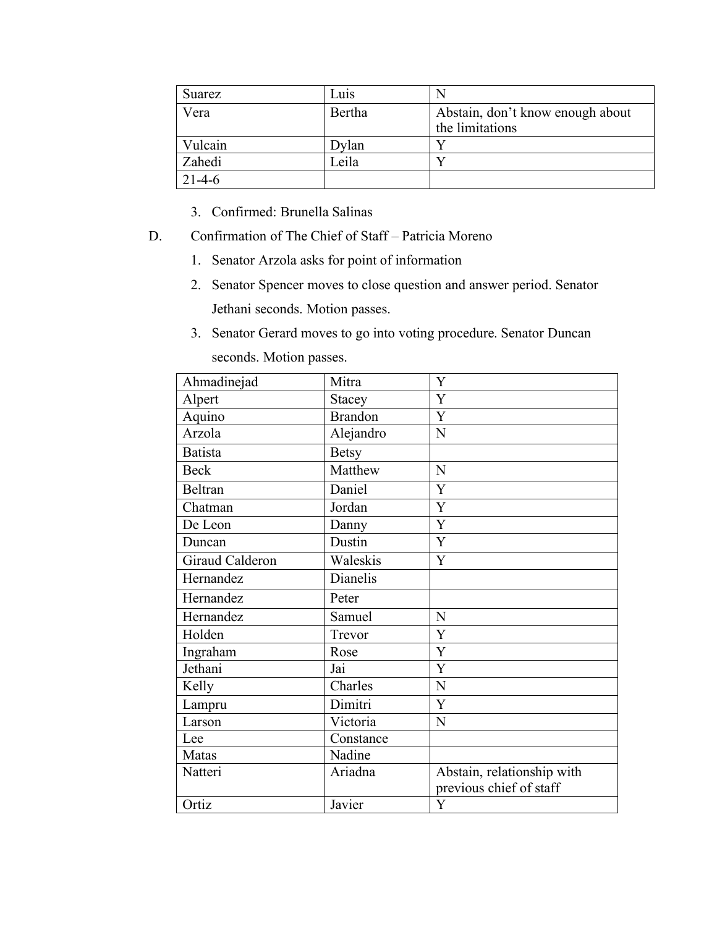| Suarez       | Luis   |                                  |
|--------------|--------|----------------------------------|
| Vera         | Bertha | Abstain, don't know enough about |
|              |        | the limitations                  |
| Vulcain      | )ylan  |                                  |
| Zahedi       | Leila  |                                  |
| $21 - 4 - 6$ |        |                                  |

- 3. Confirmed: Brunella Salinas
- D. Confirmation of The Chief of Staff Patricia Moreno
	- 1. Senator Arzola asks for point of information
	- 2. Senator Spencer moves to close question and answer period. Senator Jethani seconds. Motion passes.
	- 3. Senator Gerard moves to go into voting procedure. Senator Duncan seconds. Motion passes.

| Ahmadinejad     | Mitra          | Y                          |
|-----------------|----------------|----------------------------|
| Alpert          | Stacey         | Y                          |
| Aquino          | <b>Brandon</b> | Y                          |
| Arzola          | Alejandro      | $\mathbf N$                |
| <b>Batista</b>  | <b>Betsy</b>   |                            |
| <b>Beck</b>     | Matthew        | N                          |
| <b>Beltran</b>  | Daniel         | Y                          |
| Chatman         | Jordan         | Y                          |
| De Leon         | Danny          | Y                          |
| Duncan          | Dustin         | Y                          |
| Giraud Calderon | Waleskis       | Y                          |
| Hernandez       | Dianelis       |                            |
| Hernandez       | Peter          |                            |
| Hernandez       | Samuel         | N                          |
| Holden          | Trevor         | Y                          |
| Ingraham        | Rose           | Y                          |
| Jethani         | Jai            | Y                          |
| Kelly           | Charles        | $\overline{N}$             |
| Lampru          | Dimitri        | Y                          |
| Larson          | Victoria       | $\overline{N}$             |
| Lee             | Constance      |                            |
| Matas           | Nadine         |                            |
| Natteri         | Ariadna        | Abstain, relationship with |
|                 |                | previous chief of staff    |
| Ortiz           | Javier         | Y                          |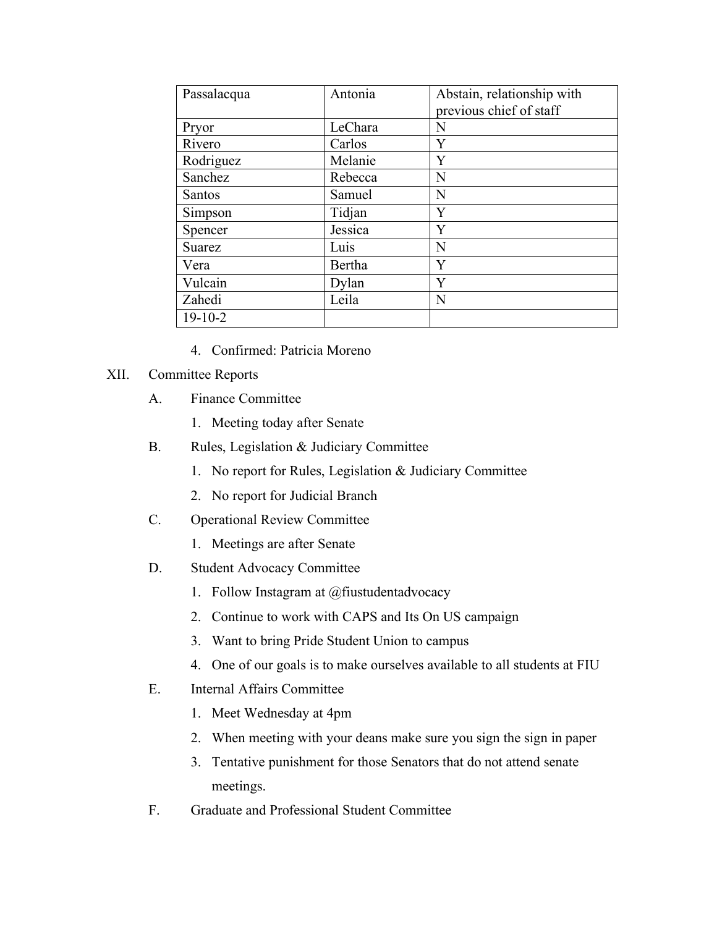| Passalacqua   | Antonia | Abstain, relationship with<br>previous chief of staff |
|---------------|---------|-------------------------------------------------------|
| Pryor         | LeChara | N                                                     |
| Rivero        | Carlos  | Y                                                     |
| Rodriguez     | Melanie | Y                                                     |
| Sanchez       | Rebecca | N                                                     |
| <b>Santos</b> | Samuel  | N                                                     |
| Simpson       | Tidjan  | Y                                                     |
| Spencer       | Jessica | Y                                                     |
| Suarez        | Luis    | N                                                     |
| Vera          | Bertha  | Y                                                     |
| Vulcain       | Dylan   | Y                                                     |
| Zahedi        | Leila   | N                                                     |
| $19-10-2$     |         |                                                       |

- 4. Confirmed: Patricia Moreno
- XII. Committee Reports
	- A. Finance Committee
		- 1. Meeting today after Senate
	- B. Rules, Legislation & Judiciary Committee
		- 1. No report for Rules, Legislation & Judiciary Committee
		- 2. No report for Judicial Branch
	- C. Operational Review Committee
		- 1. Meetings are after Senate
	- D. Student Advocacy Committee
		- 1. Follow Instagram at @fiustudentadvocacy
		- 2. Continue to work with CAPS and Its On US campaign
		- 3. Want to bring Pride Student Union to campus
		- 4. One of our goals is to make ourselves available to all students at FIU
	- E. Internal Affairs Committee
		- 1. Meet Wednesday at 4pm
		- 2. When meeting with your deans make sure you sign the sign in paper
		- 3. Tentative punishment for those Senators that do not attend senate meetings.
	- F. Graduate and Professional Student Committee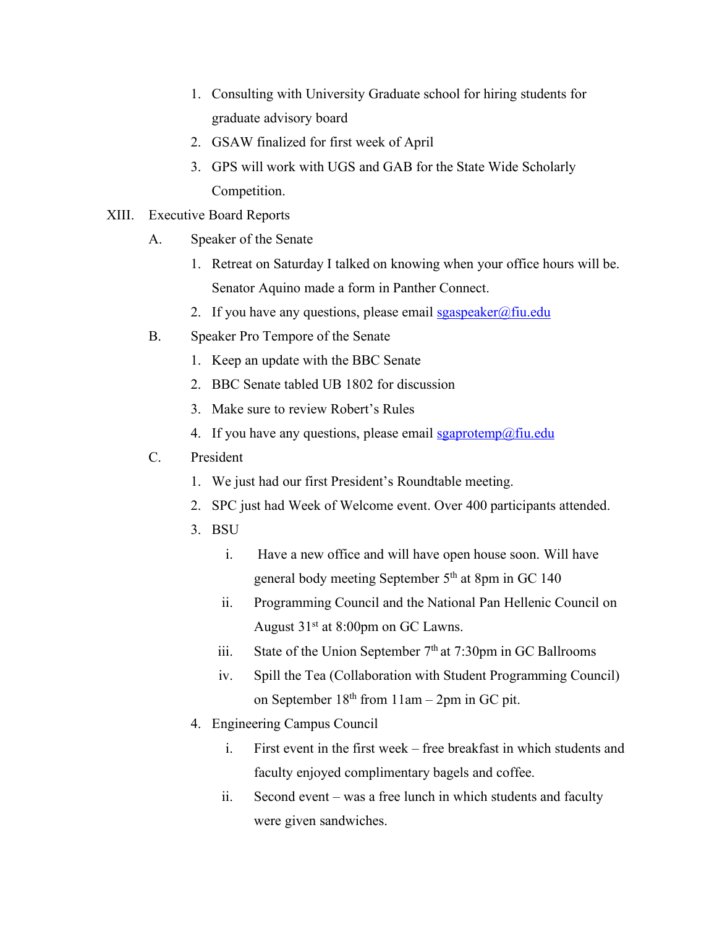- 1. Consulting with University Graduate school for hiring students for graduate advisory board
- 2. GSAW finalized for first week of April
- 3. GPS will work with UGS and GAB for the State Wide Scholarly Competition.
- XIII. Executive Board Reports
	- A. Speaker of the Senate
		- 1. Retreat on Saturday I talked on knowing when your office hours will be. Senator Aquino made a form in Panther Connect.
		- 2. If you have any questions, please email  $sgaspeaker@final$
	- B. Speaker Pro Tempore of the Senate
		- 1. Keep an update with the BBC Senate
		- 2. BBC Senate tabled UB 1802 for discussion
		- 3. Make sure to review Robert's Rules
		- 4. If you have any questions, please email  $sgaprotemp@final$
	- C. President
		- 1. We just had our first President's Roundtable meeting.
		- 2. SPC just had Week of Welcome event. Over 400 participants attended.
		- 3. BSU
			- i. Have a new office and will have open house soon. Will have general body meeting September 5<sup>th</sup> at 8pm in GC 140
			- ii. Programming Council and the National Pan Hellenic Council on August  $31<sup>st</sup>$  at 8:00pm on GC Lawns.
			- iii. State of the Union September  $7<sup>th</sup>$  at 7:30pm in GC Ballrooms
			- iv. Spill the Tea (Collaboration with Student Programming Council) on September  $18<sup>th</sup>$  from  $11am - 2pm$  in GC pit.
		- 4. Engineering Campus Council
			- i. First event in the first week free breakfast in which students and faculty enjoyed complimentary bagels and coffee.
			- ii. Second event was a free lunch in which students and faculty were given sandwiches.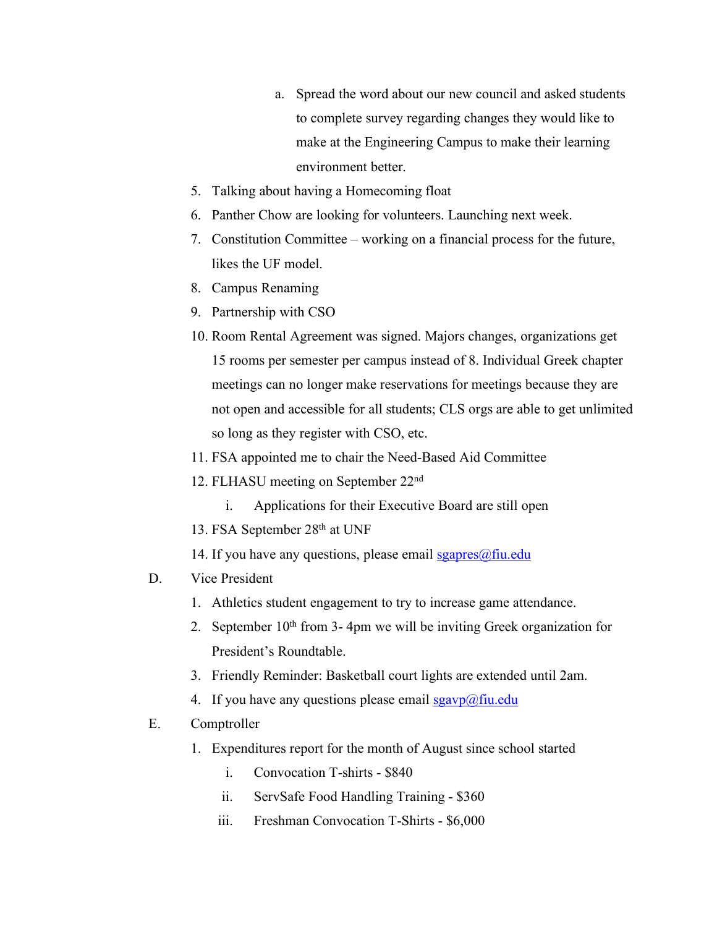- a. Spread the word about our new council and asked students to complete survey regarding changes they would like to make at the Engineering Campus to make their learning environment better.
- 5. Talking about having a Homecoming float
- 6. Panther Chow are looking for volunteers. Launching next week.
- 7. Constitution Committee working on a financial process for the future, likes the UF model.
- 8. Campus Renaming
- 9. Partnership with CSO
- 10. Room Rental Agreement was signed. Majors changes, organizations get 15 rooms per semester per campus instead of 8. Individual Greek chapter meetings can no longer make reservations for meetings because they are not open and accessible for all students; CLS orgs are able to get unlimited so long as they register with CSO, etc.
- 11. FSA appointed me to chair the Need-Based Aid Committee
- 12. FLHASU meeting on September 22nd
	- i. Applications for their Executive Board are still open
- 13. FSA September 28th at UNF
- 14. If you have any questions, please email  $sgapres(\hat{\omega})$ fiu.edu

## D. Vice President

- 1. Athletics student engagement to try to increase game attendance.
- 2. September  $10<sup>th</sup>$  from 3-4pm we will be inviting Greek organization for President's Roundtable.
- 3. Friendly Reminder: Basketball court lights are extended until 2am.
- 4. If you have any questions please email  $sgavp(\omega)$  fiu.edu

## E. Comptroller

- 1. Expenditures report for the month of August since school started
	- i. Convocation T-shirts \$840
	- ii. ServSafe Food Handling Training \$360
	- iii. Freshman Convocation T-Shirts \$6,000